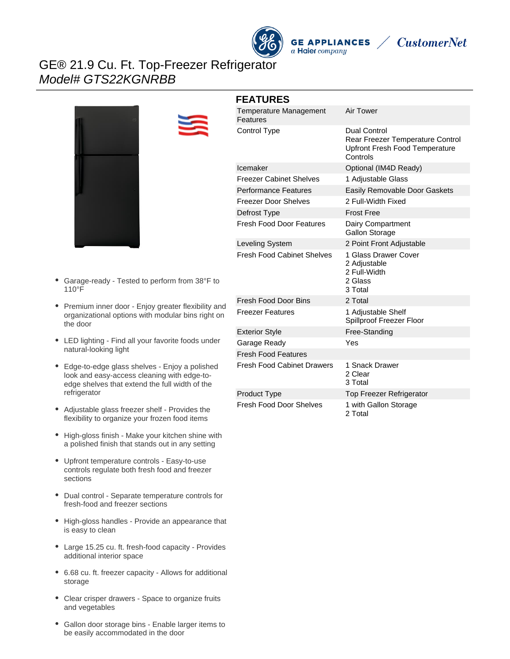

**GE APPLIANCES** a Haier company



# GE® 21.9 Cu. Ft. Top-Freezer Refrigerator Model# GTS22KGNRBB





#### **FEATURES** Temperature Management

Air Tower

| Features                          |                                                                                                       |
|-----------------------------------|-------------------------------------------------------------------------------------------------------|
| Control Type                      | Dual Control<br>Rear Freezer Temperature Control<br><b>Upfront Fresh Food Temperature</b><br>Controls |
| Icemaker                          | Optional (IM4D Ready)                                                                                 |
| <b>Freezer Cabinet Shelves</b>    | 1 Adjustable Glass                                                                                    |
| <b>Performance Features</b>       | Easily Removable Door Gaskets                                                                         |
| <b>Freezer Door Shelves</b>       | 2 Full-Width Fixed                                                                                    |
| Defrost Type                      | <b>Frost Free</b>                                                                                     |
| <b>Fresh Food Door Features</b>   | Dairy Compartment<br><b>Gallon Storage</b>                                                            |
| Leveling System                   | 2 Point Front Adjustable                                                                              |
| <b>Fresh Food Cabinet Shelves</b> | 1 Glass Drawer Cover<br>2 Adjustable<br>2 Full-Width<br>2 Glass<br>3 Total                            |
| Fresh Food Door Bins              | 2 Total                                                                                               |
| <b>Freezer Features</b>           | 1 Adjustable Shelf<br>Spillproof Freezer Floor                                                        |
| <b>Exterior Style</b>             | Free-Standing                                                                                         |
| Garage Ready                      | Yes                                                                                                   |
| <b>Fresh Food Features</b>        |                                                                                                       |
| <b>Fresh Food Cabinet Drawers</b> | 1 Snack Drawer<br>2 Clear<br>3 Total                                                                  |
| Product Type                      | <b>Top Freezer Refrigerator</b>                                                                       |
| <b>Fresh Food Door Shelves</b>    | 1 with Gallon Storage<br>2 Total                                                                      |

- $\bullet$ Garage-ready - Tested to perform from 38°F to 110°F
- Premium inner door Enjoy greater flexibility and organizational options with modular bins right on the door
- LED lighting Find all your favorite foods under natural-looking light
- Edge-to-edge glass shelves Enjoy a polished look and easy-access cleaning with edge-toedge shelves that extend the full width of the refrigerator
- Adjustable glass freezer shelf Provides the flexibility to organize your frozen food items
- High-gloss finish Make your kitchen shine with a polished finish that stands out in any setting
- Upfront temperature controls Easy-to-use controls regulate both fresh food and freezer sections
- Dual control Separate temperature controls for fresh-food and freezer sections
- High-gloss handles Provide an appearance that is easy to clean
- Large 15.25 cu. ft. fresh-food capacity Provides additional interior space
- 6.68 cu. ft. freezer capacity Allows for additional storage
- Clear crisper drawers Space to organize fruits and vegetables
- Gallon door storage bins Enable larger items to be easily accommodated in the door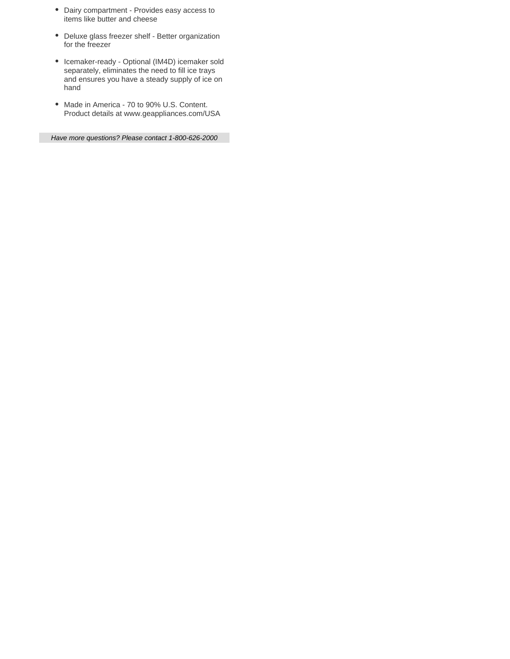- Dairy compartment Provides easy access to items like butter and cheese
- Deluxe glass freezer shelf Better organization for the freezer
- Icemaker-ready Optional (IM4D) icemaker sold separately, eliminates the need to fill ice trays and ensures you have a steady supply of ice on hand
- Made in America 70 to 90% U.S. Content. Product details at www.geappliances.com/USA

Have more questions? Please contact 1-800-626-2000